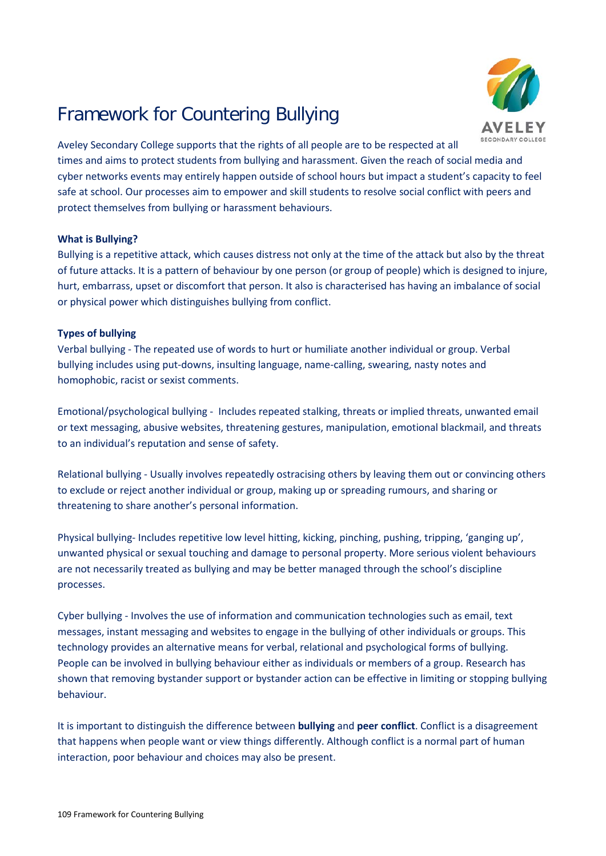# Framework for Countering Bullying



Aveley Secondary College supports that the rights of all people are to be respected at all times and aims to protect students from bullying and harassment. Given the reach of social media and cyber networks events may entirely happen outside of school hours but impact a student's capacity to feel safe at school. Our processes aim to empower and skill students to resolve social conflict with peers and protect themselves from bullying or harassment behaviours.

## **What is Bullying?**

Bullying is a repetitive attack, which causes distress not only at the time of the attack but also by the threat of future attacks. It is a pattern of behaviour by one person (or group of people) which is designed to injure, hurt, embarrass, upset or discomfort that person. It also is characterised has having an imbalance of social or physical power which distinguishes bullying from conflict.

## **Types of bullying**

Verbal bullying - The repeated use of words to hurt or humiliate another individual or group. Verbal bullying includes using put-downs, insulting language, name-calling, swearing, nasty notes and homophobic, racist or sexist comments.

Emotional/psychological bullying - Includes repeated stalking, threats or implied threats, unwanted email or text messaging, abusive websites, threatening gestures, manipulation, emotional blackmail, and threats to an individual's reputation and sense of safety.

Relational bullying - Usually involves repeatedly ostracising others by leaving them out or convincing others to exclude or reject another individual or group, making up or spreading rumours, and sharing or threatening to share another's personal information.

Physical bullying- Includes repetitive low level hitting, kicking, pinching, pushing, tripping, 'ganging up', unwanted physical or sexual touching and damage to personal property. More serious violent behaviours are not necessarily treated as bullying and may be better managed through the school's discipline processes.

Cyber bullying - Involves the use of information and communication technologies such as email, text messages, instant messaging and websites to engage in the bullying of other individuals or groups. This technology provides an alternative means for verbal, relational and psychological forms of bullying. People can be involved in bullying behaviour either as individuals or members of a group. Research has shown that removing bystander support or bystander action can be effective in limiting or stopping bullying behaviour.

It is important to distinguish the difference between **bullying** and **peer conflict**. Conflict is a disagreement that happens when people want or view things differently. Although conflict is a normal part of human interaction, poor behaviour and choices may also be present.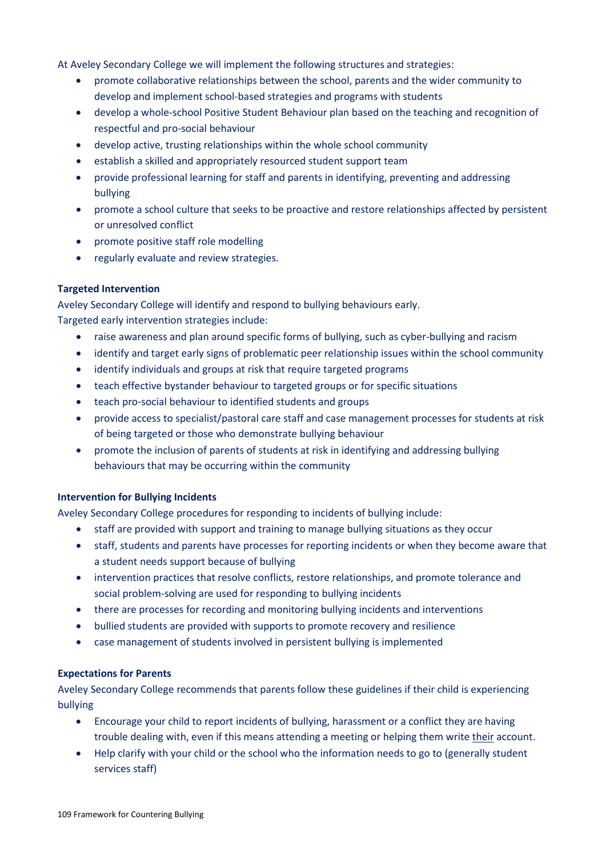At Aveley Secondary College we will implement the following structures and strategies:

- promote collaborative relationships between the school, parents and the wider community to develop and implement school-based strategies and programs with students
- develop a whole-school Positive Student Behaviour plan based on the teaching and recognition of respectful and pro-social behaviour
- develop active, trusting relationships within the whole school community
- establish a skilled and appropriately resourced student support team
- provide professional learning for staff and parents in identifying, preventing and addressing bullying
- promote a school culture that seeks to be proactive and restore relationships affected by persistent or unresolved conflict
- promote positive staff role modelling
- regularly evaluate and review strategies.

## **Targeted Intervention**

Aveley Secondary College will identify and respond to bullying behaviours early. Targeted early intervention strategies include:

- raise awareness and plan around specific forms of bullying, such as cyber-bullying and racism
- identify and target early signs of problematic peer relationship issues within the school community
- identify individuals and groups at risk that require targeted programs
- teach effective bystander behaviour to targeted groups or for specific situations
- teach pro-social behaviour to identified students and groups
- provide access to specialist/pastoral care staff and case management processes for students at risk of being targeted or those who demonstrate bullying behaviour
- promote the inclusion of parents of students at risk in identifying and addressing bullying behaviours that may be occurring within the community

#### **Intervention for Bullying Incidents**

Aveley Secondary College procedures for responding to incidents of bullying include:

- staff are provided with support and training to manage bullying situations as they occur
- staff, students and parents have processes for reporting incidents or when they become aware that a student needs support because of bullying
- intervention practices that resolve conflicts, restore relationships, and promote tolerance and social problem-solving are used for responding to bullying incidents
- there are processes for recording and monitoring bullying incidents and interventions
- bullied students are provided with supports to promote recovery and resilience
- case management of students involved in persistent bullying is implemented

#### **Expectations for Parents**

Aveley Secondary College recommends that parents follow these guidelines if their child is experiencing bullying

- Encourage your child to report incidents of bullying, harassment or a conflict they are having trouble dealing with, even if this means attending a meeting or helping them write their account.
- Help clarify with your child or the school who the information needs to go to (generally student services staff)